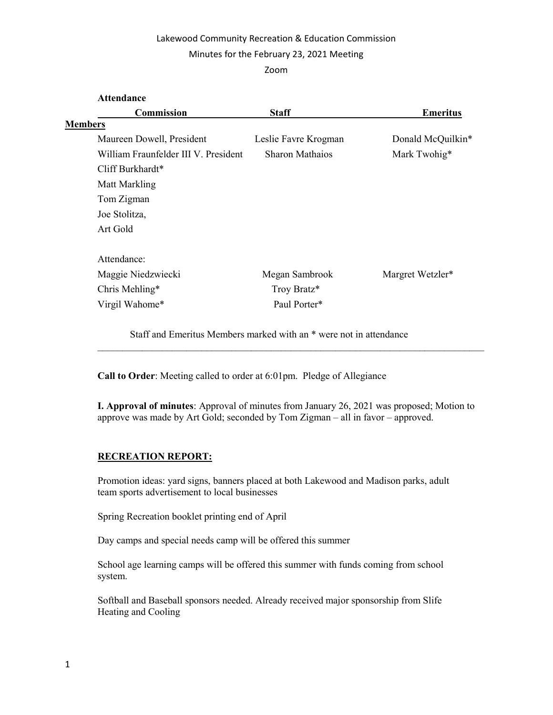## Lakewood Community Recreation & Education Commission

#### Minutes for the February 23, 2021 Meeting

Zoom

| <b>Attendance</b>                    |                        |                   |
|--------------------------------------|------------------------|-------------------|
| Commission                           | <b>Staff</b>           | <b>Emeritus</b>   |
| <b>Members</b>                       |                        |                   |
| Maureen Dowell, President            | Leslie Favre Krogman   | Donald McQuilkin* |
| William Fraunfelder III V. President | <b>Sharon Mathaios</b> | Mark Twohig*      |
| Cliff Burkhardt*                     |                        |                   |
| Matt Markling                        |                        |                   |
| Tom Zigman                           |                        |                   |
| Joe Stolitza,                        |                        |                   |
| Art Gold                             |                        |                   |
| Attendance:                          |                        |                   |
| Maggie Niedzwiecki                   | Megan Sambrook         | Margret Wetzler*  |
| Chris Mehling*                       | Troy Bratz*            |                   |
| Virgil Wahome*                       | Paul Porter*           |                   |
|                                      |                        |                   |

Staff and Emeritus Members marked with an \* were not in attendance

Call to Order: Meeting called to order at 6:01pm. Pledge of Allegiance

I. Approval of minutes: Approval of minutes from January 26, 2021 was proposed; Motion to approve was made by Art Gold; seconded by Tom Zigman – all in favor – approved.

 $\mathcal{L}_\text{max}$  and  $\mathcal{L}_\text{max}$  and  $\mathcal{L}_\text{max}$  and  $\mathcal{L}_\text{max}$  and  $\mathcal{L}_\text{max}$  and  $\mathcal{L}_\text{max}$ 

# RECREATION REPORT:

Promotion ideas: yard signs, banners placed at both Lakewood and Madison parks, adult team sports advertisement to local businesses

Spring Recreation booklet printing end of April

Day camps and special needs camp will be offered this summer

School age learning camps will be offered this summer with funds coming from school system.

Softball and Baseball sponsors needed. Already received major sponsorship from Slife Heating and Cooling